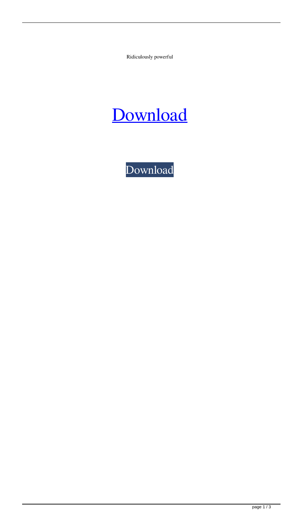Ridiculously powerful

## [Download](http://evacdir.com/videoselect&beekeeping/booted/?barbarian=ZG93bmxvYWR8ZzFMTVc0ek1IeDhNVFkxTXpBNE5ERTFOSHg4TWpVM05IeDhLRTBwSUhKbFlXUXRZbXh2WnlCYlJtRnpkQ0JIUlU1ZA&dGFsayBlbmdsaXNoIG9mZmxpbmUgdmVyc2lvbiBmdWxsIGRvd25sb2FkIHRvcnJlbnQgZG93bmxvYWRlcgdGF=karat)

[Download](http://evacdir.com/videoselect&beekeeping/booted/?barbarian=ZG93bmxvYWR8ZzFMTVc0ek1IeDhNVFkxTXpBNE5ERTFOSHg4TWpVM05IeDhLRTBwSUhKbFlXUXRZbXh2WnlCYlJtRnpkQ0JIUlU1ZA&dGFsayBlbmdsaXNoIG9mZmxpbmUgdmVyc2lvbiBmdWxsIGRvd25sb2FkIHRvcnJlbnQgZG93bmxvYWRlcgdGF=karat)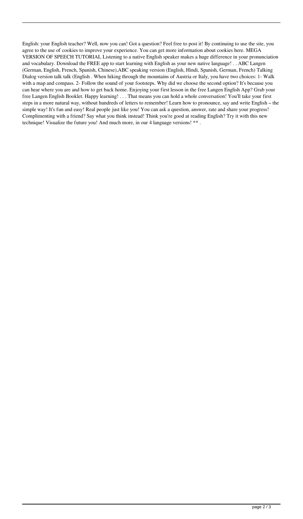English: your English teacher? Well, now you can! Got a question? Feel free to post it! By continuing to use the site, you agree to the use of cookies to improve your experience. You can get more information about cookies here. MEGA VERSION OF SPEECH TUTORIAL Listening to a native English speaker makes a huge difference in your pronunciation and vocabulary. Download the FREE app to start learning with English as your new native language! . . ABC Langen (German, English, French, Spanish, Chinese),ABC speaking version (English, Hindi, Spanish, German, French) Talking Dialog version talk talk (English . When hiking through the mountains of Austria or Italy, you have two choices: 1- Walk with a map and compass. 2- Follow the sound of your footsteps. Why did we choose the second option? It's because you can hear where you are and how to get back home. Enjoying your first lesson in the free Langen English App? Grab your free Langen English Booklet. Happy learning! . . . That means you can hold a whole conversation! You'll take your first steps in a more natural way, without hundreds of letters to remember! Learn how to pronounce, say and write English – the simple way! It's fun and easy! Real people just like you! You can ask a question, answer, rate and share your progress! Complimenting with a friend? Say what you think instead! Think you're good at reading English? Try it with this new technique! Visualize the future you! And much more, in our 4 language versions! \*\* .